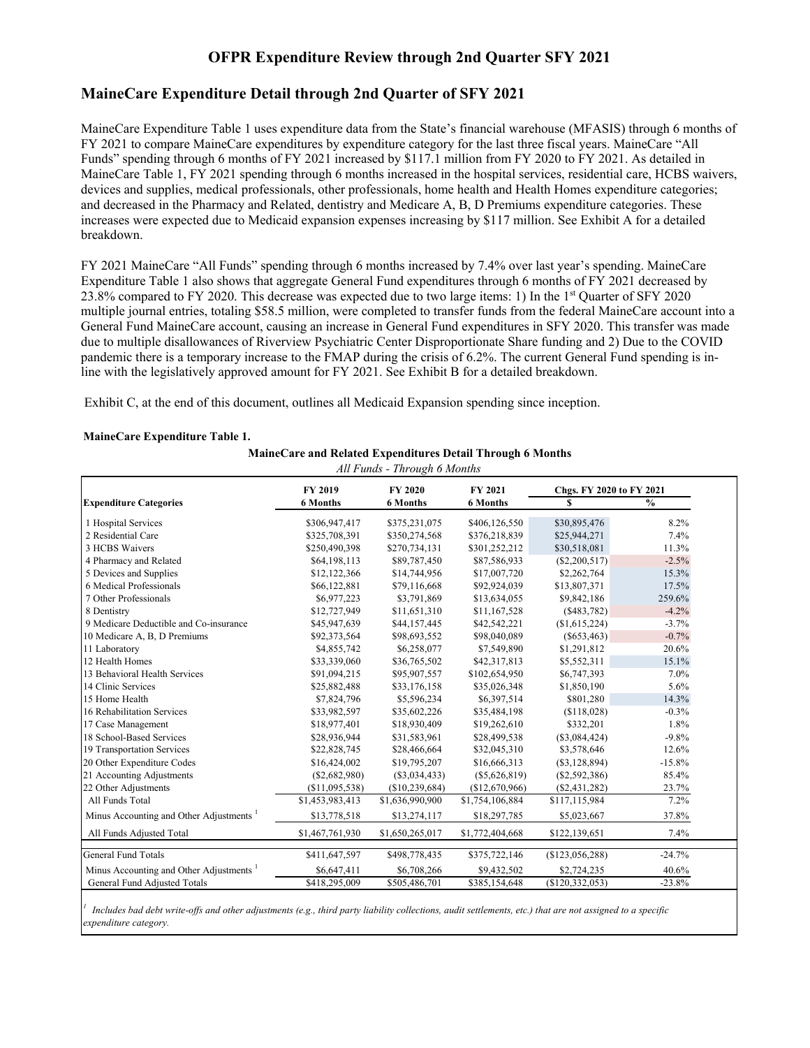#### **OFPR Expenditure Review through 2nd Quarter SFY 2021**

#### **MaineCare Expenditure Detail through 2nd Quarter of SFY 2021**

MaineCare Expenditure Table 1 uses expenditure data from the State's financial warehouse (MFASIS) through 6 months of FY 2021 to compare MaineCare expenditures by expenditure category for the last three fiscal years. MaineCare "All Funds" spending through 6 months of FY 2021 increased by \$117.1 million from FY 2020 to FY 2021. As detailed in MaineCare Table 1, FY 2021 spending through 6 months increased in the hospital services, residential care, HCBS waivers, devices and supplies, medical professionals, other professionals, home health and Health Homes expenditure categories; and decreased in the Pharmacy and Related, dentistry and Medicare A, B, D Premiums expenditure categories. These increases were expected due to Medicaid expansion expenses increasing by \$117 million. See Exhibit A for a detailed breakdown.

FY 2021 MaineCare "All Funds" spending through 6 months increased by 7.4% over last year's spending. MaineCare Expenditure Table 1 also shows that aggregate General Fund expenditures through 6 months of FY 2021 decreased by 23.8% compared to FY 2020. This decrease was expected due to two large items: 1) In the 1st Quarter of SFY 2020 multiple journal entries, totaling \$58.5 million, were completed to transfer funds from the federal MaineCare account into a General Fund MaineCare account, causing an increase in General Fund expenditures in SFY 2020. This transfer was made due to multiple disallowances of Riverview Psychiatric Center Disproportionate Share funding and 2) Due to the COVID pandemic there is a temporary increase to the FMAP during the crisis of 6.2%. The current General Fund spending is inline with the legislatively approved amount for FY 2021. See Exhibit B for a detailed breakdown.

Exhibit C, at the end of this document, outlines all Medicaid Expansion spending since inception.

#### **MaineCare Expenditure Table 1.**

**MaineCare and Related Expenditures Detail Through 6 Months**

| All Funds - Through 6 Months                        |                 |                           |                 |                          |               |  |  |  |  |
|-----------------------------------------------------|-----------------|---------------------------|-----------------|--------------------------|---------------|--|--|--|--|
|                                                     | <b>FY 2019</b>  | <b>FY 2020</b><br>FY 2021 |                 | Chgs. FY 2020 to FY 2021 |               |  |  |  |  |
| <b>Expenditure Categories</b>                       | <b>6 Months</b> | <b>6 Months</b>           | <b>6 Months</b> | S                        | $\frac{0}{0}$ |  |  |  |  |
| 1 Hospital Services                                 | \$306,947,417   | \$375,231,075             | \$406,126,550   | \$30,895,476             | 8.2%          |  |  |  |  |
| 2 Residential Care                                  | \$325,708,391   | \$350,274,568             | \$376,218,839   | \$25,944,271             | 7.4%          |  |  |  |  |
| 3 HCBS Waivers                                      | \$250,490,398   | \$270,734,131             | \$301,252,212   | \$30,518,081             | 11.3%         |  |  |  |  |
| 4 Pharmacy and Related                              | \$64,198,113    | \$89,787,450              | \$87,586,933    | $(\$2,200,517)$          | $-2.5%$       |  |  |  |  |
| 5 Devices and Supplies                              | \$12,122,366    | \$14,744,956              | \$17,007,720    | \$2,262,764              | 15.3%         |  |  |  |  |
| 6 Medical Professionals                             | \$66,122,881    | \$79,116,668              | \$92,924,039    | \$13,807,371             | 17.5%         |  |  |  |  |
| 7 Other Professionals                               | \$6,977,223     | \$3,791,869               | \$13,634,055    | \$9,842,186              | 259.6%        |  |  |  |  |
| 8 Dentistry                                         | \$12,727,949    | \$11,651,310              | \$11,167,528    | (S483,782)               | $-4.2%$       |  |  |  |  |
| 9 Medicare Deductible and Co-insurance              | \$45,947,639    | \$44,157,445              | \$42,542,221    | (\$1,615,224)            | $-3.7%$       |  |  |  |  |
| 10 Medicare A, B, D Premiums                        | \$92,373,564    | \$98,693,552              | \$98,040,089    | $(\$653,463)$            | $-0.7%$       |  |  |  |  |
| 11 Laboratory                                       | \$4,855,742     | \$6,258,077               | \$7,549,890     | \$1,291,812              | 20.6%         |  |  |  |  |
| 12 Health Homes                                     | \$33,339,060    | \$36,765,502              | \$42,317,813    | \$5,552,311              | 15.1%         |  |  |  |  |
| 13 Behavioral Health Services                       | \$91,094,215    | \$95,907,557              | \$102,654,950   | \$6,747,393              | 7.0%          |  |  |  |  |
| 14 Clinic Services                                  | \$25,882,488    | \$33,176,158              | \$35,026,348    | \$1,850,190              | 5.6%          |  |  |  |  |
| 15 Home Health                                      | \$7,824,796     | \$5,596,234               | \$6,397,514     | \$801,280                | 14.3%         |  |  |  |  |
| 16 Rehabilitation Services                          | \$33,982,597    | \$35,602,226              | \$35,484,198    | (S118,028)               | $-0.3%$       |  |  |  |  |
| 17 Case Management                                  | \$18,977,401    | \$18,930,409              | \$19,262,610    | \$332,201                | 1.8%          |  |  |  |  |
| 18 School-Based Services                            | \$28,936,944    | \$31,583,961              | \$28,499,538    | (\$3,084,424)            | $-9.8%$       |  |  |  |  |
| 19 Transportation Services                          | \$22,828,745    | \$28,466,664              | \$32,045,310    | \$3,578,646              | 12.6%         |  |  |  |  |
| 20 Other Expenditure Codes                          | \$16,424,002    | \$19,795,207              | \$16,666,313    | $(\$3,128,894)$          | $-15.8%$      |  |  |  |  |
| 21 Accounting Adjustments                           | $(\$2,682,980)$ | (S3,034,433)              | $(\$5,626,819)$ | (\$2,592,386)            | 85.4%         |  |  |  |  |
| 22 Other Adjustments                                | (\$11,095,538)  | (\$10,239,684)            | (\$12,670,966)  | (\$2,431,282)            | 23.7%         |  |  |  |  |
| All Funds Total                                     | \$1,453,983,413 | \$1,636,990,900           | \$1,754,106,884 | \$117,115,984            | 7.2%          |  |  |  |  |
| Minus Accounting and Other Adjustments <sup>1</sup> | \$13,778,518    | \$13,274,117              | \$18,297,785    | \$5,023,667              | 37.8%         |  |  |  |  |
| All Funds Adjusted Total                            | \$1,467,761,930 | \$1,650,265,017           | \$1,772,404,668 | \$122,139,651            | 7.4%          |  |  |  |  |
| <b>General Fund Totals</b>                          | \$411,647,597   | \$498,778,435             | \$375,722,146   | (\$123,056,288)          | $-24.7%$      |  |  |  |  |
| Minus Accounting and Other Adjustments <sup>1</sup> | \$6,647,411     | \$6,708,266               | \$9,432,502     | \$2,724,235              | 40.6%         |  |  |  |  |
| General Fund Adjusted Totals                        | \$418,295,009   | \$505,486,701             | \$385,154,648   | (\$120,332,053)          | $-23.8%$      |  |  |  |  |

*1 Includes bad debt write-offs and other adjustments (e.g., third party liability collections, audit settlements, etc.) that are not assigned to a specific expenditure category.*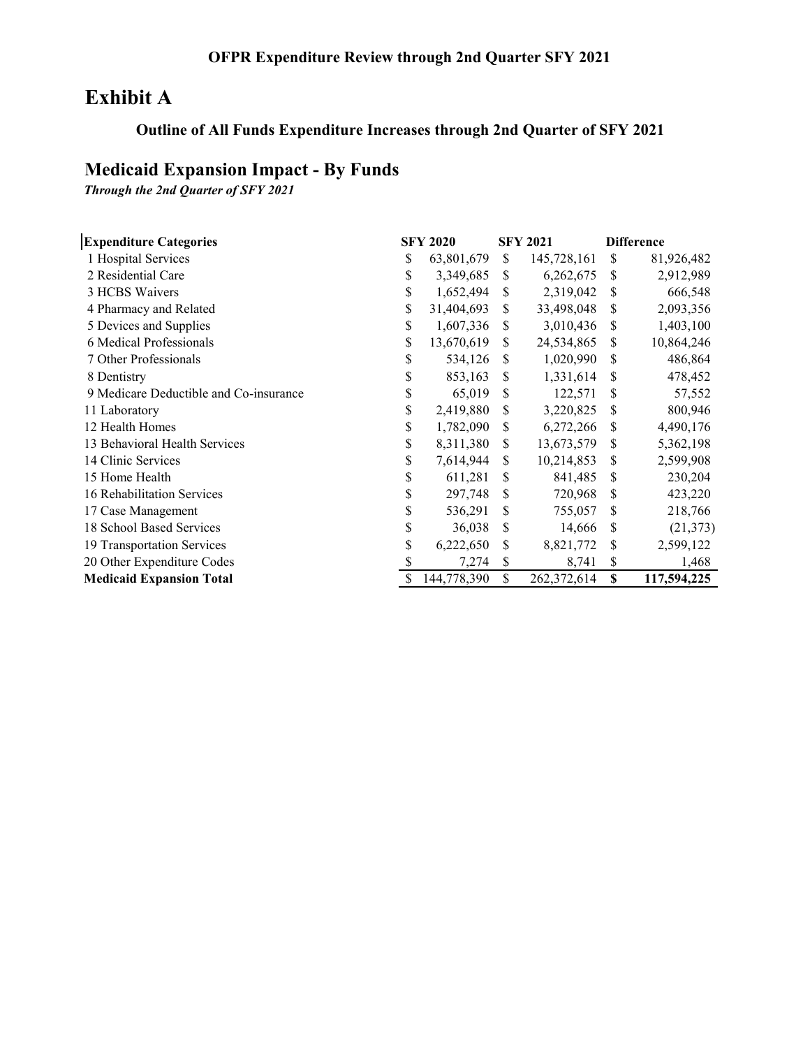## **Exhibit A**

### **Outline of All Funds Expenditure Increases through 2nd Quarter of SFY 2021**

## **Medicaid Expansion Impact - By Funds**

*Through the 2nd Quarter of SFY 2021*

| <b>Expenditure Categories</b>          |    | <b>SFY 2020</b> |               | <b>SFY 2021</b> |    | <b>Difference</b> |
|----------------------------------------|----|-----------------|---------------|-----------------|----|-------------------|
| 1 Hospital Services                    | \$ | 63,801,679      | <sup>\$</sup> | 145,728,161     | \$ | 81,926,482        |
| 2 Residential Care                     | \$ | 3,349,685       | \$.           | 6,262,675       | S  | 2,912,989         |
| 3 HCBS Waivers                         | \$ | 1,652,494       | S             | 2,319,042       | \$ | 666,548           |
| 4 Pharmacy and Related                 | \$ | 31,404,693      | S             | 33,498,048      | \$ | 2,093,356         |
| 5 Devices and Supplies                 | \$ | 1,607,336       | S             | 3,010,436       | \$ | 1,403,100         |
| 6 Medical Professionals                | \$ | 13,670,619      | S             | 24,534,865      | \$ | 10,864,246        |
| 7 Other Professionals                  | \$ | 534,126         | S             | 1,020,990       | \$ | 486,864           |
| 8 Dentistry                            | \$ | 853,163         | S             | 1,331,614       | \$ | 478,452           |
| 9 Medicare Deductible and Co-insurance | \$ | 65,019          | \$            | 122,571         | \$ | 57,552            |
| 11 Laboratory                          | \$ | 2,419,880       | S             | 3,220,825       | \$ | 800,946           |
| 12 Health Homes                        | \$ | 1,782,090       | S             | 6,272,266       | S  | 4,490,176         |
| 13 Behavioral Health Services          | \$ | 8,311,380       | S             | 13,673,579      | S  | 5,362,198         |
| 14 Clinic Services                     | \$ | 7,614,944       | \$.           | 10,214,853      | \$ | 2,599,908         |
| 15 Home Health                         | \$ | 611,281         | \$            | 841,485         | \$ | 230,204           |
| 16 Rehabilitation Services             | \$ | 297,748         | S             | 720,968         | S  | 423,220           |
| 17 Case Management                     | \$ | 536,291         | \$.           | 755,057         | \$ | 218,766           |
| 18 School Based Services               | \$ | 36,038          | S             | 14,666          | S  | (21, 373)         |
| 19 Transportation Services             | \$ | 6,222,650       | S             | 8,821,772       | \$ | 2,599,122         |
| 20 Other Expenditure Codes             |    | 7,274           | \$            | 8,741           | \$ | 1,468             |
| <b>Medicaid Expansion Total</b>        | S  | 144,778,390     | \$            | 262,372,614     | \$ | 117,594,225       |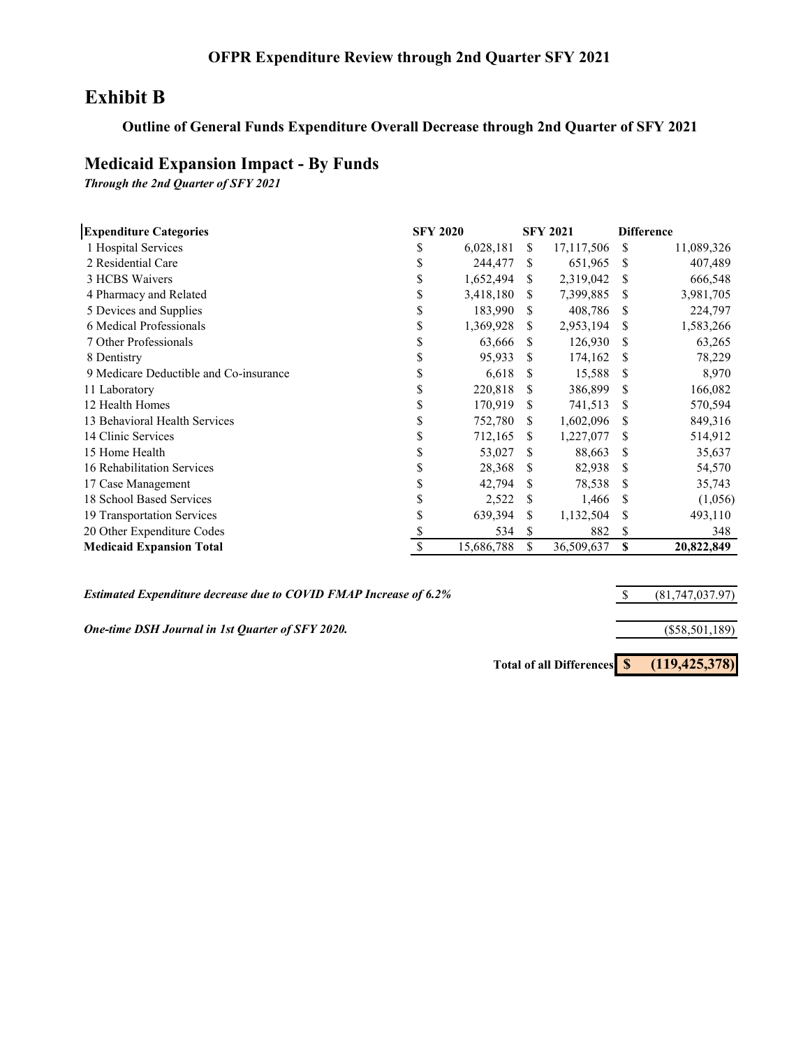#### **OFPR Expenditure Review through 2nd Quarter SFY 2021**

### **Exhibit B**

#### **Outline of General Funds Expenditure Overall Decrease through 2nd Quarter of SFY 2021**

### **Medicaid Expansion Impact - By Funds**

*Through the 2nd Quarter of SFY 2021*

| <b>Expenditure Categories</b><br><b>SFY 2020</b> |    |            |     | <b>SFY 2021</b> | <b>Difference</b> |            |  |
|--------------------------------------------------|----|------------|-----|-----------------|-------------------|------------|--|
| 1 Hospital Services                              | S  | 6,028,181  | S   | 17, 117, 506    | S.                | 11,089,326 |  |
| 2 Residential Care                               | S  | 244,477    | S   | 651,965         | \$.               | 407,489    |  |
| 3 HCBS Waivers                                   | S  | 1,652,494  | \$. | 2,319,042       | \$.               | 666,548    |  |
| 4 Pharmacy and Related                           | \$ | 3,418,180  | \$. | 7,399,885       | S                 | 3,981,705  |  |
| 5 Devices and Supplies                           | S  | 183,990    | \$. | 408,786         | S                 | 224,797    |  |
| 6 Medical Professionals                          | \$ | 1,369,928  | \$. | 2,953,194       | S                 | 1,583,266  |  |
| 7 Other Professionals                            |    | 63,666     | S   | 126,930         | S                 | 63,265     |  |
| 8 Dentistry                                      |    | 95,933     | S   | 174,162         | \$                | 78,229     |  |
| 9 Medicare Deductible and Co-insurance           | \$ | 6,618      | S   | 15,588          | S                 | 8,970      |  |
| 11 Laboratory                                    | S  | 220,818    | S   | 386,899         | S                 | 166,082    |  |
| 12 Health Homes                                  | S  | 170,919    | S   | 741,513         | S                 | 570,594    |  |
| 13 Behavioral Health Services                    | S  | 752,780    | S.  | 1,602,096       | S                 | 849,316    |  |
| 14 Clinic Services                               | S  | 712,165    | S   | 1,227,077       | \$                | 514,912    |  |
| 15 Home Health                                   | \$ | 53,027     | S   | 88,663          | S                 | 35,637     |  |
| 16 Rehabilitation Services                       | \$ | 28,368     | S.  | 82,938          | \$.               | 54,570     |  |
| 17 Case Management                               | \$ | 42,794     | S   | 78,538          | S                 | 35,743     |  |
| 18 School Based Services                         |    | 2,522      | S   | 1,466           | S                 | (1,056)    |  |
| 19 Transportation Services                       | S  | 639,394    | S   | 1,132,504       | S                 | 493,110    |  |
| 20 Other Expenditure Codes                       |    | 534        | S   | 882             | \$                | 348        |  |
| <b>Medicaid Expansion Total</b>                  |    | 15,686,788 | \$  | 36,509,637      | S                 | 20,822,849 |  |

*Estimated Expenditure decrease due to COVID FMAP Increase of 6.2%*

*One-time DSH Journal in 1st Quarter of SFY 2020.*

(\$58,501,189)

\$ (81,747,037.97)

**Total of all Differences \$ (119,425,378)**